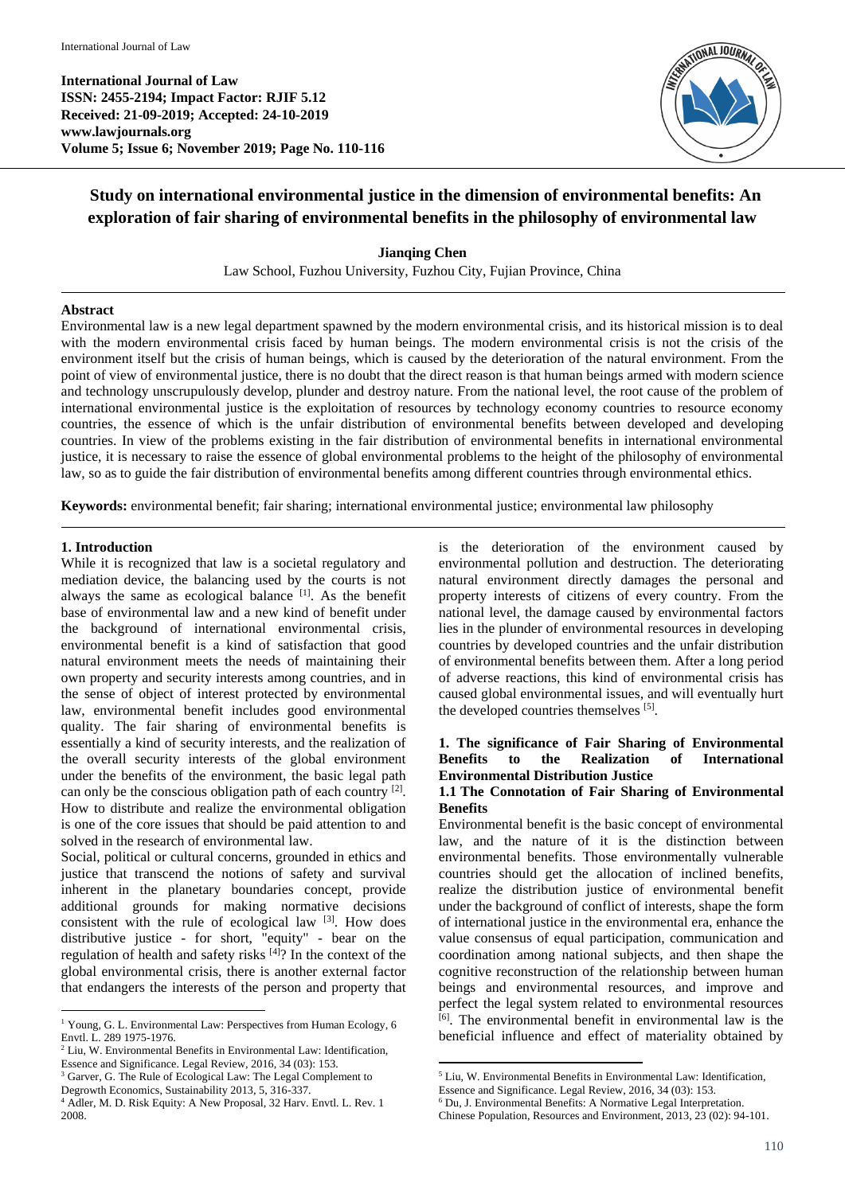**International Journal of Law ISSN: 2455-2194; Impact Factor: RJIF 5.12 Received: 21-09-2019; Accepted: 24-10-2019 www.lawjournals.org Volume 5; Issue 6; November 2019; Page No. 110-116**



# **Study on international environmental justice in the dimension of environmental benefits: An exploration of fair sharing of environmental benefits in the philosophy of environmental law**

**Jianqing Chen** Law School, Fuzhou University, Fuzhou City, Fujian Province, China

### **Abstract**

Environmental law is a new legal department spawned by the modern environmental crisis, and its historical mission is to deal with the modern environmental crisis faced by human beings. The modern environmental crisis is not the crisis of the environment itself but the crisis of human beings, which is caused by the deterioration of the natural environment. From the point of view of environmental justice, there is no doubt that the direct reason is that human beings armed with modern science and technology unscrupulously develop, plunder and destroy nature. From the national level, the root cause of the problem of international environmental justice is the exploitation of resources by technology economy countries to resource economy countries, the essence of which is the unfair distribution of environmental benefits between developed and developing countries. In view of the problems existing in the fair distribution of environmental benefits in international environmental justice, it is necessary to raise the essence of global environmental problems to the height of the philosophy of environmental law, so as to guide the fair distribution of environmental benefits among different countries through environmental ethics.

**Keywords:** environmental benefit; fair sharing; international environmental justice; environmental law philosophy

### **1. Introduction**

While it is recognized that law is a societal regulatory and mediation device, the balancing used by the courts is not always the same as ecological balance [1]. As the benefit base of environmental law and a new kind of benefit under the background of international environmental crisis, environmental benefit is a kind of satisfaction that good natural environment meets the needs of maintaining their own property and security interests among countries, and in the sense of object of interest protected by environmental law, environmental benefit includes good environmental quality. The fair sharing of environmental benefits is essentially a kind of security interests, and the realization of the overall security interests of the global environment under the benefits of the environment, the basic legal path can only be the conscious obligation path of each country <sup>[2]</sup>. How to distribute and realize the environmental obligation is one of the core issues that should be paid attention to and solved in the research of environmental law.

Social, political or cultural concerns, grounded in ethics and justice that transcend the notions of safety and survival inherent in the planetary boundaries concept, provide additional grounds for making normative decisions consistent with the rule of ecological law  $[3]$ . How does distributive justice - for short, "equity" - bear on the regulation of health and safety risks [4]? In the context of the global environmental crisis, there is another external factor that endangers the interests of the person and property that

 $2$  Liu, W. Environmental Benefits in Environmental Law: Identification, Essence and Significance. Legal Review, 2016, 34 (03): 153.

is the deterioration of the environment caused by environmental pollution and destruction. The deteriorating natural environment directly damages the personal and property interests of citizens of every country. From the national level, the damage caused by environmental factors lies in the plunder of environmental resources in developing countries by developed countries and the unfair distribution of environmental benefits between them. After a long period of adverse reactions, this kind of environmental crisis has caused global environmental issues, and will eventually hurt the developed countries themselves [5].

#### **1. The significance of Fair Sharing of Environmental Benefits to the Realization of International Environmental Distribution Justice**

### **1.1 The Connotation of Fair Sharing of Environmental Benefits**

Environmental benefit is the basic concept of environmental law, and the nature of it is the distinction between environmental benefits. Those environmentally vulnerable countries should get the allocation of inclined benefits, realize the distribution justice of environmental benefit under the background of conflict of interests, shape the form of international justice in the environmental era, enhance the value consensus of equal participation, communication and coordination among national subjects, and then shape the cognitive reconstruction of the relationship between human beings and environmental resources, and improve and perfect the legal system related to environmental resources [6] . The environmental benefit in environmental law is the beneficial influence and effect of materiality obtained by

 $\overline{a}$ <sup>1</sup> Young, G. L. Environmental Law: Perspectives from Human Ecology, 6 Envtl. L. 289 1975-1976.

<sup>&</sup>lt;sup>3</sup> Garver, G. The Rule of Ecological Law: The Legal Complement to

Degrowth Economics, Sustainability 2013, 5, 316-337.

<sup>4</sup> Adler, M. D. Risk Equity: A New Proposal, 32 Harv. Envtl. L. Rev. 1 2008.

**<sup>.</sup>** <sup>5</sup> Liu, W. Environmental Benefits in Environmental Law: Identification,

Essence and Significance. Legal Review, 2016, 34 (03): 153.

<sup>6</sup> Du, J. Environmental Benefits: A Normative Legal Interpretation.

Chinese Population, Resources and Environment, 2013, 23 (02): 94-101.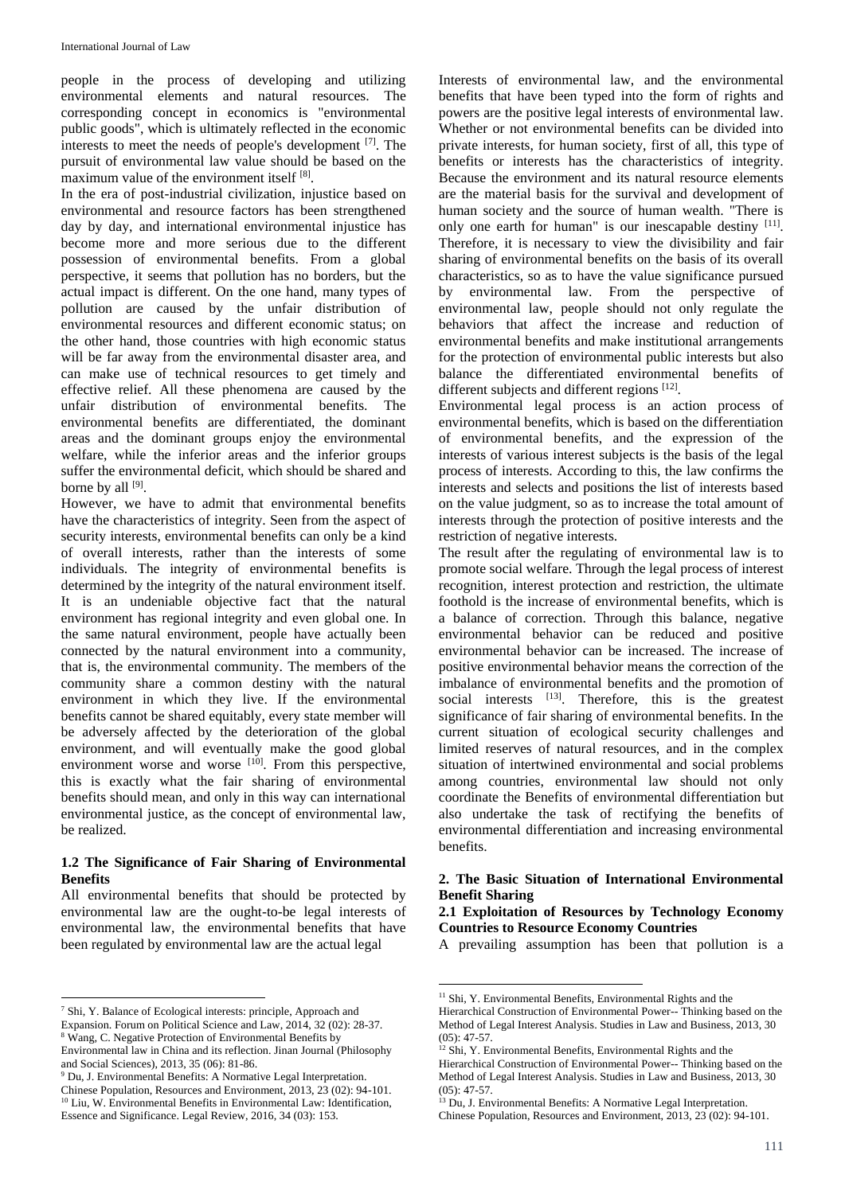people in the process of developing and utilizing environmental elements and natural resources. The corresponding concept in economics is "environmental public goods", which is ultimately reflected in the economic interests to meet the needs of people's development [7] . The pursuit of environmental law value should be based on the maximum value of the environment itself [8].

In the era of post-industrial civilization, injustice based on environmental and resource factors has been strengthened day by day, and international environmental injustice has become more and more serious due to the different possession of environmental benefits. From a global perspective, it seems that pollution has no borders, but the actual impact is different. On the one hand, many types of pollution are caused by the unfair distribution of environmental resources and different economic status; on the other hand, those countries with high economic status will be far away from the environmental disaster area, and can make use of technical resources to get timely and effective relief. All these phenomena are caused by the unfair distribution of environmental benefits. The environmental benefits are differentiated, the dominant areas and the dominant groups enjoy the environmental welfare, while the inferior areas and the inferior groups suffer the environmental deficit, which should be shared and borne by all [9].

However, we have to admit that environmental benefits have the characteristics of integrity. Seen from the aspect of security interests, environmental benefits can only be a kind of overall interests, rather than the interests of some individuals. The integrity of environmental benefits is determined by the integrity of the natural environment itself. It is an undeniable objective fact that the natural environment has regional integrity and even global one. In the same natural environment, people have actually been connected by the natural environment into a community, that is, the environmental community. The members of the community share a common destiny with the natural environment in which they live. If the environmental benefits cannot be shared equitably, every state member will be adversely affected by the deterioration of the global environment, and will eventually make the good global environment worse and worse <sup>[10]</sup>. From this perspective, this is exactly what the fair sharing of environmental benefits should mean, and only in this way can international environmental justice, as the concept of environmental law, be realized.

### **1.2 The Significance of Fair Sharing of Environmental Benefits**

All environmental benefits that should be protected by environmental law are the ought-to-be legal interests of environmental law, the environmental benefits that have been regulated by environmental law are the actual legal

 $\overline{a}$ 

Interests of environmental law, and the environmental benefits that have been typed into the form of rights and powers are the positive legal interests of environmental law. Whether or not environmental benefits can be divided into private interests, for human society, first of all, this type of benefits or interests has the characteristics of integrity. Because the environment and its natural resource elements are the material basis for the survival and development of human society and the source of human wealth. "There is only one earth for human" is our inescapable destiny [11]. Therefore, it is necessary to view the divisibility and fair sharing of environmental benefits on the basis of its overall characteristics, so as to have the value significance pursued by environmental law. From the perspective of environmental law, people should not only regulate the behaviors that affect the increase and reduction of environmental benefits and make institutional arrangements for the protection of environmental public interests but also balance the differentiated environmental benefits of different subjects and different regions [12].

Environmental legal process is an action process of environmental benefits, which is based on the differentiation of environmental benefits, and the expression of the interests of various interest subjects is the basis of the legal process of interests. According to this, the law confirms the interests and selects and positions the list of interests based on the value judgment, so as to increase the total amount of interests through the protection of positive interests and the restriction of negative interests.

The result after the regulating of environmental law is to promote social welfare. Through the legal process of interest recognition, interest protection and restriction, the ultimate foothold is the increase of environmental benefits, which is a balance of correction. Through this balance, negative environmental behavior can be reduced and positive environmental behavior can be increased. The increase of positive environmental behavior means the correction of the imbalance of environmental benefits and the promotion of social interests <sup>[13]</sup>. Therefore, this is the greatest significance of fair sharing of environmental benefits. In the current situation of ecological security challenges and limited reserves of natural resources, and in the complex situation of intertwined environmental and social problems among countries, environmental law should not only coordinate the Benefits of environmental differentiation but also undertake the task of rectifying the benefits of environmental differentiation and increasing environmental benefits.

# **2. The Basic Situation of International Environmental Benefit Sharing**

# **2.1 Exploitation of Resources by Technology Economy Countries to Resource Economy Countries**

A prevailing assumption has been that pollution is a

**.** 

<sup>7</sup> Shi, Y. Balance of Ecological interests: principle, Approach and

Expansion. Forum on Political Science and Law, 2014, 32 (02): 28-37.

<sup>8</sup> Wang, C. Negative Protection of Environmental Benefits by Environmental law in China and its reflection. Jinan Journal (Philosophy

and Social Sciences), 2013, 35 (06): 81-86. <sup>9</sup> Du, J. Environmental Benefits: A Normative Legal Interpretation.

Chinese Population, Resources and Environment, 2013, 23 (02): 94-101. <sup>10</sup> Liu, W. Environmental Benefits in Environmental Law: Identification, Essence and Significance. Legal Review, 2016, 34 (03): 153.

<sup>&</sup>lt;sup>11</sup> Shi, Y. Environmental Benefits, Environmental Rights and the

Hierarchical Construction of Environmental Power-- Thinking based on the Method of Legal Interest Analysis. Studies in Law and Business, 2013, 30 (05): 47-57.

<sup>12</sup> Shi, Y. Environmental Benefits, Environmental Rights and the

Hierarchical Construction of Environmental Power-- Thinking based on the Method of Legal Interest Analysis. Studies in Law and Business, 2013, 30 (05): 47-57.

<sup>13</sup> Du, J. Environmental Benefits: A Normative Legal Interpretation. Chinese Population, Resources and Environment, 2013, 23 (02): 94-101.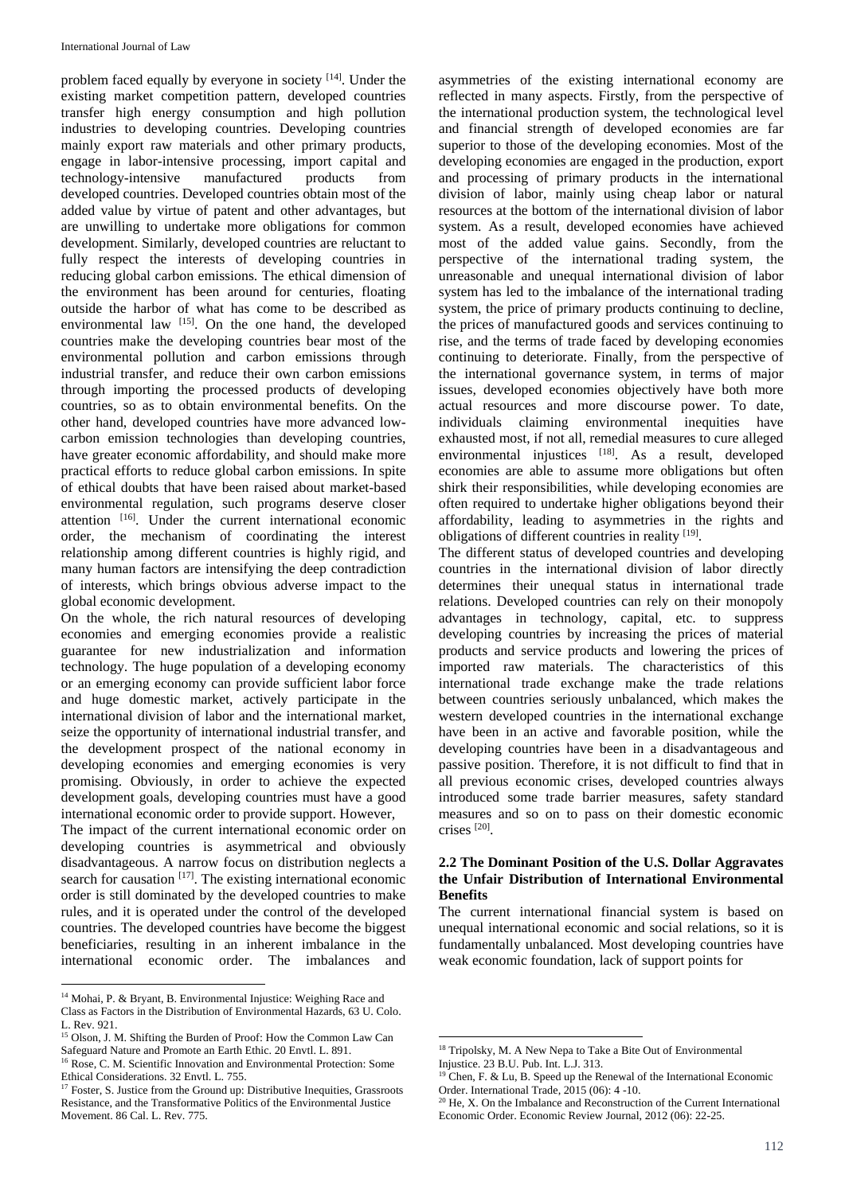problem faced equally by everyone in society [14]. Under the existing market competition pattern, developed countries transfer high energy consumption and high pollution industries to developing countries. Developing countries mainly export raw materials and other primary products, engage in labor-intensive processing, import capital and technology-intensive manufactured products from developed countries. Developed countries obtain most of the added value by virtue of patent and other advantages, but are unwilling to undertake more obligations for common development. Similarly, developed countries are reluctant to fully respect the interests of developing countries in reducing global carbon emissions. The ethical dimension of the environment has been around for centuries, floating outside the harbor of what has come to be described as environmental law [15]. On the one hand, the developed countries make the developing countries bear most of the environmental pollution and carbon emissions through industrial transfer, and reduce their own carbon emissions through importing the processed products of developing countries, so as to obtain environmental benefits. On the other hand, developed countries have more advanced lowcarbon emission technologies than developing countries, have greater economic affordability, and should make more practical efforts to reduce global carbon emissions. In spite of ethical doubts that have been raised about market-based environmental regulation, such programs deserve closer attention [16]. Under the current international economic order, the mechanism of coordinating the interest relationship among different countries is highly rigid, and many human factors are intensifying the deep contradiction of interests, which brings obvious adverse impact to the global economic development.

On the whole, the rich natural resources of developing economies and emerging economies provide a realistic guarantee for new industrialization and information technology. The huge population of a developing economy or an emerging economy can provide sufficient labor force and huge domestic market, actively participate in the international division of labor and the international market, seize the opportunity of international industrial transfer, and the development prospect of the national economy in developing economies and emerging economies is very promising. Obviously, in order to achieve the expected development goals, developing countries must have a good international economic order to provide support. However,

The impact of the current international economic order on developing countries is asymmetrical and obviously disadvantageous. A narrow focus on distribution neglects a search for causation  $[17]$ . The existing international economic order is still dominated by the developed countries to make rules, and it is operated under the control of the developed countries. The developed countries have become the biggest beneficiaries, resulting in an inherent imbalance in the international economic order. The imbalances and

 $\overline{a}$ 

asymmetries of the existing international economy are reflected in many aspects. Firstly, from the perspective of the international production system, the technological level and financial strength of developed economies are far superior to those of the developing economies. Most of the developing economies are engaged in the production, export and processing of primary products in the international division of labor, mainly using cheap labor or natural resources at the bottom of the international division of labor system. As a result, developed economies have achieved most of the added value gains. Secondly, from the perspective of the international trading system, the unreasonable and unequal international division of labor system has led to the imbalance of the international trading system, the price of primary products continuing to decline, the prices of manufactured goods and services continuing to rise, and the terms of trade faced by developing economies continuing to deteriorate. Finally, from the perspective of the international governance system, in terms of major issues, developed economies objectively have both more actual resources and more discourse power. To date, individuals claiming environmental inequities have exhausted most, if not all, remedial measures to cure alleged environmental injustices [18]. As a result, developed economies are able to assume more obligations but often shirk their responsibilities, while developing economies are often required to undertake higher obligations beyond their affordability, leading to asymmetries in the rights and obligations of different countries in reality [19].

The different status of developed countries and developing countries in the international division of labor directly determines their unequal status in international trade relations. Developed countries can rely on their monopoly advantages in technology, capital, etc. to suppress developing countries by increasing the prices of material products and service products and lowering the prices of imported raw materials. The characteristics of this international trade exchange make the trade relations between countries seriously unbalanced, which makes the western developed countries in the international exchange have been in an active and favorable position, while the developing countries have been in a disadvantageous and passive position. Therefore, it is not difficult to find that in all previous economic crises, developed countries always introduced some trade barrier measures, safety standard measures and so on to pass on their domestic economic crises [20] .

#### **2.2 The Dominant Position of the U.S. Dollar Aggravates the Unfair Distribution of International Environmental Benefits**

The current international financial system is based on unequal international economic and social relations, so it is fundamentally unbalanced. Most developing countries have weak economic foundation, lack of support points for

**.** 

<sup>14</sup> Mohai, P. & Bryant, B. Environmental Injustice: Weighing Race and Class as Factors in the Distribution of Environmental Hazards, 63 U. Colo.  $L$  Rev. 921.

<sup>&</sup>lt;sup>15</sup> Olson, J. M. Shifting the Burden of Proof: How the Common Law Can Safeguard Nature and Promote an Earth Ethic. 20 Envtl. L. 891.

<sup>&</sup>lt;sup>16</sup> Rose, C. M. Scientific Innovation and Environmental Protection: Some Ethical Considerations. 32 Envtl. L. 755.

<sup>&</sup>lt;sup>17</sup> Foster, S. Justice from the Ground up: Distributive Inequities, Grassroots Resistance, and the Transformative Politics of the Environmental Justice Movement. 86 Cal. L. Rev. 775.

<sup>&</sup>lt;sup>18</sup> Tripolsky, M. A New Nepa to Take a Bite Out of Environmental Injustice. 23 B.U. Pub. Int. L.J. 313.

 $19$  Chen, F. & Lu, B. Speed up the Renewal of the International Economic Order. International Trade, 2015 (06): 4 -10.

<sup>&</sup>lt;sup>20</sup> He, X. On the Imbalance and Reconstruction of the Current International Economic Order. Economic Review Journal, 2012 (06): 22-25.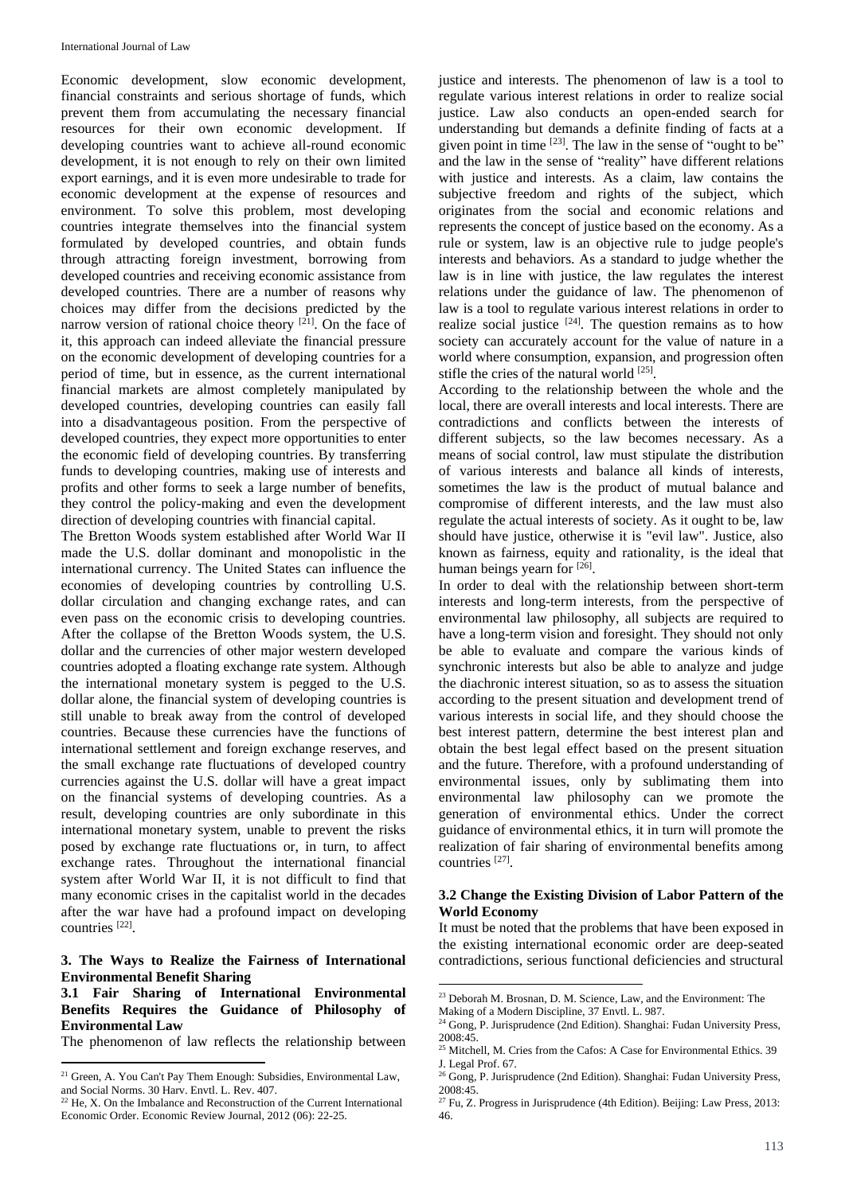Economic development, slow economic development, financial constraints and serious shortage of funds, which prevent them from accumulating the necessary financial resources for their own economic development. If developing countries want to achieve all-round economic development, it is not enough to rely on their own limited export earnings, and it is even more undesirable to trade for economic development at the expense of resources and environment. To solve this problem, most developing countries integrate themselves into the financial system formulated by developed countries, and obtain funds through attracting foreign investment, borrowing from developed countries and receiving economic assistance from developed countries. There are a number of reasons why choices may differ from the decisions predicted by the narrow version of rational choice theory <sup>[21]</sup>. On the face of it, this approach can indeed alleviate the financial pressure on the economic development of developing countries for a period of time, but in essence, as the current international financial markets are almost completely manipulated by developed countries, developing countries can easily fall into a disadvantageous position. From the perspective of developed countries, they expect more opportunities to enter the economic field of developing countries. By transferring funds to developing countries, making use of interests and profits and other forms to seek a large number of benefits, they control the policy-making and even the development direction of developing countries with financial capital.

The Bretton Woods system established after World War II made the U.S. dollar dominant and monopolistic in the international currency. The United States can influence the economies of developing countries by controlling U.S. dollar circulation and changing exchange rates, and can even pass on the economic crisis to developing countries. After the collapse of the Bretton Woods system, the U.S. dollar and the currencies of other major western developed countries adopted a floating exchange rate system. Although the international monetary system is pegged to the U.S. dollar alone, the financial system of developing countries is still unable to break away from the control of developed countries. Because these currencies have the functions of international settlement and foreign exchange reserves, and the small exchange rate fluctuations of developed country currencies against the U.S. dollar will have a great impact on the financial systems of developing countries. As a result, developing countries are only subordinate in this international monetary system, unable to prevent the risks posed by exchange rate fluctuations or, in turn, to affect exchange rates. Throughout the international financial system after World War II, it is not difficult to find that many economic crises in the capitalist world in the decades after the war have had a profound impact on developing countries [22] .

#### **3. The Ways to Realize the Fairness of International Environmental Benefit Sharing**

## **3.1 Fair Sharing of International Environmental Benefits Requires the Guidance of Philosophy of Environmental Law**

The phenomenon of law reflects the relationship between

justice and interests. The phenomenon of law is a tool to regulate various interest relations in order to realize social justice. Law also conducts an open-ended search for understanding but demands a definite finding of facts at a given point in time  $[23]$ . The law in the sense of "ought to be" and the law in the sense of "reality" have different relations with justice and interests. As a claim, law contains the subjective freedom and rights of the subject, which originates from the social and economic relations and represents the concept of justice based on the economy. As a rule or system, law is an objective rule to judge people's interests and behaviors. As a standard to judge whether the law is in line with justice, the law regulates the interest relations under the guidance of law. The phenomenon of law is a tool to regulate various interest relations in order to realize social justice  $[24]$ . The question remains as to how society can accurately account for the value of nature in a world where consumption, expansion, and progression often stifle the cries of the natural world [25].

According to the relationship between the whole and the local, there are overall interests and local interests. There are contradictions and conflicts between the interests of different subjects, so the law becomes necessary. As a means of social control, law must stipulate the distribution of various interests and balance all kinds of interests, sometimes the law is the product of mutual balance and compromise of different interests, and the law must also regulate the actual interests of society. As it ought to be, law should have justice, otherwise it is "evil law". Justice, also known as fairness, equity and rationality, is the ideal that human beings yearn for [26].

In order to deal with the relationship between short-term interests and long-term interests, from the perspective of environmental law philosophy, all subjects are required to have a long-term vision and foresight. They should not only be able to evaluate and compare the various kinds of synchronic interests but also be able to analyze and judge the diachronic interest situation, so as to assess the situation according to the present situation and development trend of various interests in social life, and they should choose the best interest pattern, determine the best interest plan and obtain the best legal effect based on the present situation and the future. Therefore, with a profound understanding of environmental issues, only by sublimating them into environmental law philosophy can we promote the generation of environmental ethics. Under the correct guidance of environmental ethics, it in turn will promote the realization of fair sharing of environmental benefits among countries [27] .

## **3.2 Change the Existing Division of Labor Pattern of the World Economy**

It must be noted that the problems that have been exposed in the existing international economic order are deep-seated contradictions, serious functional deficiencies and structural

**.** 

 $\overline{a}$  $21$  Green, A. You Can't Pay Them Enough: Subsidies, Environmental Law, and Social Norms. 30 Harv. Envtl. L. Rev. 407.

 $22$  He, X. On the Imbalance and Reconstruction of the Current International Economic Order. Economic Review Journal, 2012 (06): 22-25.

<sup>&</sup>lt;sup>23</sup> Deborah M. Brosnan, D. M. Science, Law, and the Environment: The

Making of a Modern Discipline, 37 Envtl. L. 987. <sup>24</sup> Gong, P. Jurisprudence (2nd Edition). Shanghai: Fudan University Press, 2008:45.

<sup>&</sup>lt;sup>25</sup> Mitchell, M. Cries from the Cafos: A Case for Environmental Ethics. 39 J. Legal Prof. 67.

<sup>&</sup>lt;sup>26</sup> Gong, P. Jurisprudence (2nd Edition). Shanghai: Fudan University Press, 2008:45.

<sup>27</sup> Fu, Z. Progress in Jurisprudence (4th Edition). Beijing: Law Press, 2013: 46.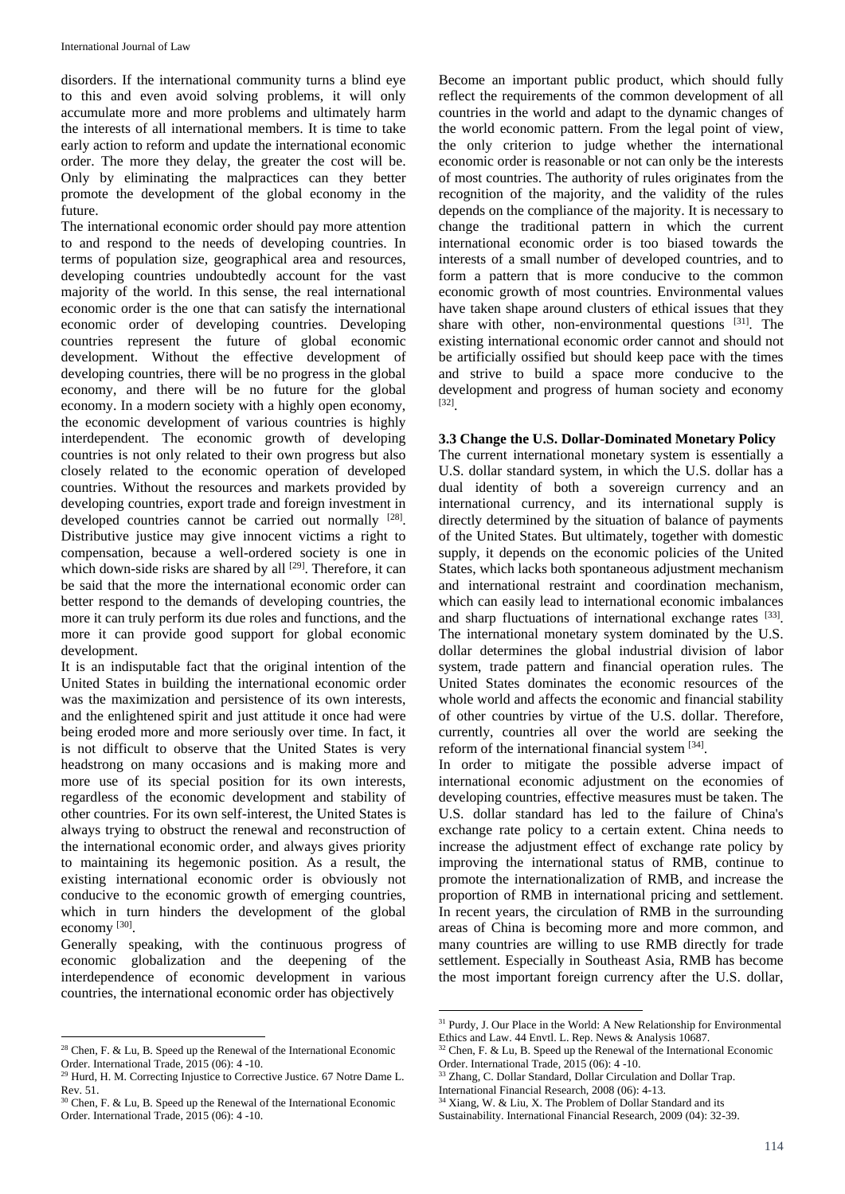disorders. If the international community turns a blind eye to this and even avoid solving problems, it will only accumulate more and more problems and ultimately harm the interests of all international members. It is time to take early action to reform and update the international economic order. The more they delay, the greater the cost will be. Only by eliminating the malpractices can they better promote the development of the global economy in the future.

The international economic order should pay more attention to and respond to the needs of developing countries. In terms of population size, geographical area and resources, developing countries undoubtedly account for the vast majority of the world. In this sense, the real international economic order is the one that can satisfy the international economic order of developing countries. Developing countries represent the future of global economic development. Without the effective development of developing countries, there will be no progress in the global economy, and there will be no future for the global economy. In a modern society with a highly open economy, the economic development of various countries is highly interdependent. The economic growth of developing countries is not only related to their own progress but also closely related to the economic operation of developed countries. Without the resources and markets provided by developing countries, export trade and foreign investment in developed countries cannot be carried out normally [28]. Distributive justice may give innocent victims a right to compensation, because a well-ordered society is one in which down-side risks are shared by all <sup>[29]</sup>. Therefore, it can be said that the more the international economic order can better respond to the demands of developing countries, the more it can truly perform its due roles and functions, and the more it can provide good support for global economic development.

It is an indisputable fact that the original intention of the United States in building the international economic order was the maximization and persistence of its own interests, and the enlightened spirit and just attitude it once had were being eroded more and more seriously over time. In fact, it is not difficult to observe that the United States is very headstrong on many occasions and is making more and more use of its special position for its own interests, regardless of the economic development and stability of other countries. For its own self-interest, the United States is always trying to obstruct the renewal and reconstruction of the international economic order, and always gives priority to maintaining its hegemonic position. As a result, the existing international economic order is obviously not conducive to the economic growth of emerging countries, which in turn hinders the development of the global economy<sup>[30]</sup>.

Generally speaking, with the continuous progress of economic globalization and the deepening of the interdependence of economic development in various countries, the international economic order has objectively

Become an important public product, which should fully reflect the requirements of the common development of all countries in the world and adapt to the dynamic changes of the world economic pattern. From the legal point of view, the only criterion to judge whether the international economic order is reasonable or not can only be the interests of most countries. The authority of rules originates from the recognition of the majority, and the validity of the rules depends on the compliance of the majority. It is necessary to change the traditional pattern in which the current international economic order is too biased towards the interests of a small number of developed countries, and to form a pattern that is more conducive to the common economic growth of most countries. Environmental values have taken shape around clusters of ethical issues that they share with other, non-environmental questions  $[31]$ . The existing international economic order cannot and should not be artificially ossified but should keep pace with the times and strive to build a space more conducive to the development and progress of human society and economy [32] .

# **3.3 Change the U.S. Dollar-Dominated Monetary Policy**

The current international monetary system is essentially a U.S. dollar standard system, in which the U.S. dollar has a dual identity of both a sovereign currency and an international currency, and its international supply is directly determined by the situation of balance of payments of the United States. But ultimately, together with domestic supply, it depends on the economic policies of the United States, which lacks both spontaneous adjustment mechanism and international restraint and coordination mechanism, which can easily lead to international economic imbalances and sharp fluctuations of international exchange rates [33]. The international monetary system dominated by the U.S. dollar determines the global industrial division of labor system, trade pattern and financial operation rules. The United States dominates the economic resources of the whole world and affects the economic and financial stability of other countries by virtue of the U.S. dollar. Therefore, currently, countries all over the world are seeking the reform of the international financial system  $[34]$ .

In order to mitigate the possible adverse impact of international economic adjustment on the economies of developing countries, effective measures must be taken. The U.S. dollar standard has led to the failure of China's exchange rate policy to a certain extent. China needs to increase the adjustment effect of exchange rate policy by improving the international status of RMB, continue to promote the internationalization of RMB, and increase the proportion of RMB in international pricing and settlement. In recent years, the circulation of RMB in the surrounding areas of China is becoming more and more common, and many countries are willing to use RMB directly for trade settlement. Especially in Southeast Asia, RMB has become the most important foreign currency after the U.S. dollar,

 $\overline{a}$ <sup>28</sup> Chen, F. & Lu, B. Speed up the Renewal of the International Economic Order. International Trade, 2015 (06): 4 -10.

<sup>&</sup>lt;sup>29</sup> Hurd, H. M. Correcting Injustice to Corrective Justice. 67 Notre Dame L. Rev. 51.

 $30$  Chen, F. & Lu, B. Speed up the Renewal of the International Economic Order. International Trade, 2015 (06): 4 -10.

**<sup>.</sup>**  $31$  Purdy, J. Our Place in the World: A New Relationship for Environmental Ethics and Law. 44 Envtl. L. Rep. News & Analysis 10687.

 $32$  Chen, F. & Lu, B. Speed up the Renewal of the International Economic Order. International Trade, 2015 (06): 4 -10.

<sup>&</sup>lt;sup>33</sup> Zhang, C. Dollar Standard, Dollar Circulation and Dollar Trap.

International Financial Research, 2008 (06): 4-13.

 $34$  Xiang, W. & Liu, X. The Problem of Dollar Standard and its

Sustainability. International Financial Research, 2009 (04): 32-39.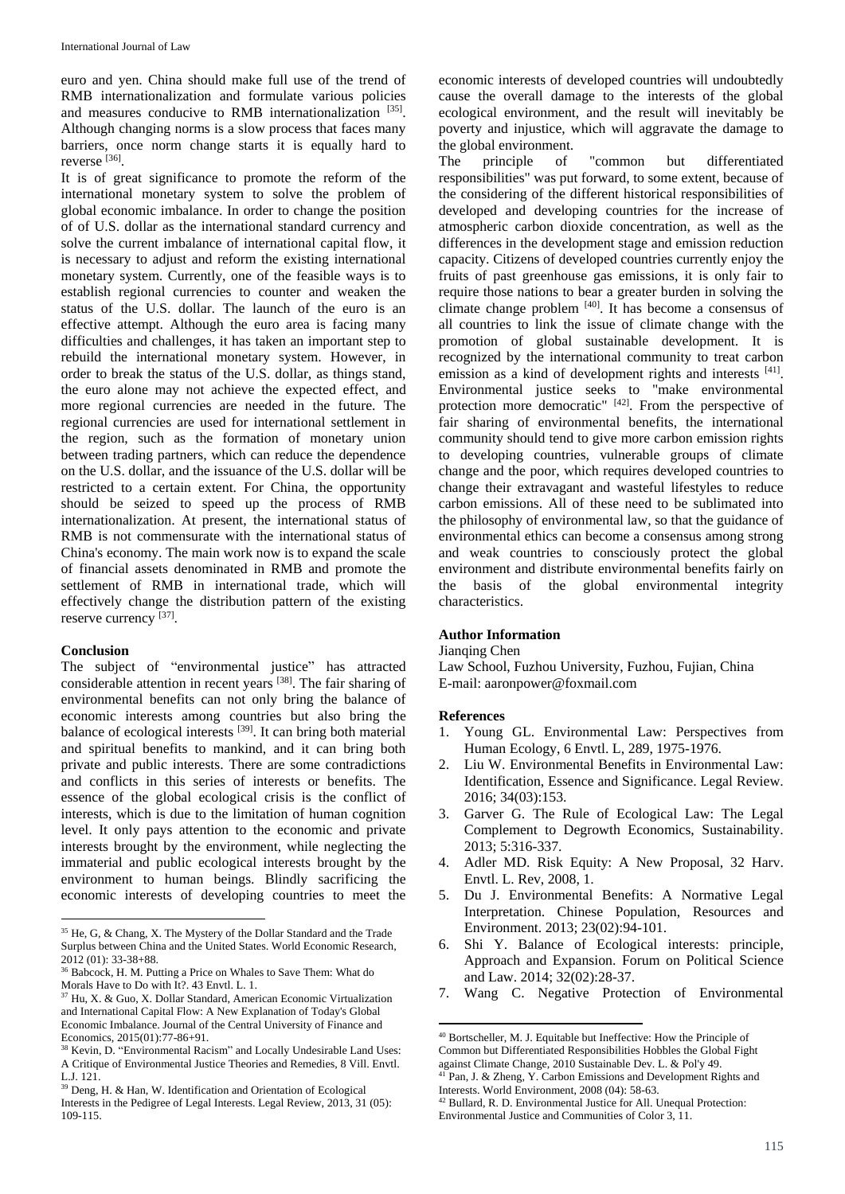euro and yen. China should make full use of the trend of RMB internationalization and formulate various policies and measures conducive to RMB internationalization [35]. Although changing norms is a slow process that faces many barriers, once norm change starts it is equally hard to reverse [36] .

It is of great significance to promote the reform of the international monetary system to solve the problem of global economic imbalance. In order to change the position of of U.S. dollar as the international standard currency and solve the current imbalance of international capital flow, it is necessary to adjust and reform the existing international monetary system. Currently, one of the feasible ways is to establish regional currencies to counter and weaken the status of the U.S. dollar. The launch of the euro is an effective attempt. Although the euro area is facing many difficulties and challenges, it has taken an important step to rebuild the international monetary system. However, in order to break the status of the U.S. dollar, as things stand, the euro alone may not achieve the expected effect, and more regional currencies are needed in the future. The regional currencies are used for international settlement in the region, such as the formation of monetary union between trading partners, which can reduce the dependence on the U.S. dollar, and the issuance of the U.S. dollar will be restricted to a certain extent. For China, the opportunity should be seized to speed up the process of RMB internationalization. At present, the international status of RMB is not commensurate with the international status of China's economy. The main work now is to expand the scale of financial assets denominated in RMB and promote the settlement of RMB in international trade, which will effectively change the distribution pattern of the existing reserve currency [37].

#### **Conclusion**

 $\overline{a}$ 

The subject of "environmental justice" has attracted considerable attention in recent years [38]. The fair sharing of environmental benefits can not only bring the balance of economic interests among countries but also bring the balance of ecological interests [39]. It can bring both material and spiritual benefits to mankind, and it can bring both private and public interests. There are some contradictions and conflicts in this series of interests or benefits. The essence of the global ecological crisis is the conflict of interests, which is due to the limitation of human cognition level. It only pays attention to the economic and private interests brought by the environment, while neglecting the immaterial and public ecological interests brought by the environment to human beings. Blindly sacrificing the economic interests of developing countries to meet the economic interests of developed countries will undoubtedly cause the overall damage to the interests of the global ecological environment, and the result will inevitably be poverty and injustice, which will aggravate the damage to the global environment.

The principle of "common but differentiated responsibilities" was put forward, to some extent, because of the considering of the different historical responsibilities of developed and developing countries for the increase of atmospheric carbon dioxide concentration, as well as the differences in the development stage and emission reduction capacity. Citizens of developed countries currently enjoy the fruits of past greenhouse gas emissions, it is only fair to require those nations to bear a greater burden in solving the climate change problem  $[40]$ . It has become a consensus of all countries to link the issue of climate change with the promotion of global sustainable development. It is recognized by the international community to treat carbon emission as a kind of development rights and interests [41]. Environmental justice seeks to "make environmental protection more democratic" [42]. From the perspective of fair sharing of environmental benefits, the international community should tend to give more carbon emission rights to developing countries, vulnerable groups of climate change and the poor, which requires developed countries to change their extravagant and wasteful lifestyles to reduce carbon emissions. All of these need to be sublimated into the philosophy of environmental law, so that the guidance of environmental ethics can become a consensus among strong and weak countries to consciously protect the global environment and distribute environmental benefits fairly on the basis of the global environmental integrity characteristics.

#### **Author Information**

Jianqing Chen

Law School, Fuzhou University, Fuzhou, Fujian, China E-mail: aaronpower@foxmail.com

#### **References**

- 1. Young GL. Environmental Law: Perspectives from Human Ecology, 6 Envtl. L, 289, 1975-1976.
- 2. Liu W. Environmental Benefits in Environmental Law: Identification, Essence and Significance. Legal Review. 2016; 34(03):153.
- 3. Garver G. The Rule of Ecological Law: The Legal Complement to Degrowth Economics, Sustainability. 2013; 5:316-337.
- 4. Adler MD. Risk Equity: A New Proposal, 32 Harv. Envtl. L. Rev, 2008, 1.
- 5. Du J. Environmental Benefits: A Normative Legal Interpretation. Chinese Population, Resources and Environment. 2013; 23(02):94-101.
- 6. Shi Y. Balance of Ecological interests: principle, Approach and Expansion. Forum on Political Science and Law. 2014; 32(02):28-37.
- 7. Wang C. Negative Protection of Environmental

<sup>35</sup> He, G, & Chang, X. The Mystery of the Dollar Standard and the Trade Surplus between China and the United States. World Economic Research, 2012 (01): 33-38+88.

<sup>36</sup> Babcock, H. M. Putting a Price on Whales to Save Them: What do Morals Have to Do with It?. 43 Envtl. L. 1.

<sup>37</sup> Hu, X. & Guo, X. Dollar Standard, American Economic Virtualization and International Capital Flow: A New Explanation of Today's Global Economic Imbalance. Journal of the Central University of Finance and Economics, 2015(01):77-86+91.

<sup>38</sup> Kevin, D. "Environmental Racism" and Locally Undesirable Land Uses: A Critique of Environmental Justice Theories and Remedies, 8 Vill. Envtl. L.J. 121.

<sup>39</sup> Deng, H. & Han, W. Identification and Orientation of Ecological Interests in the Pedigree of Legal Interests. Legal Review, 2013, 31 (05): 109-115.

<sup>1</sup> <sup>40</sup> Bortscheller, M. J. Equitable but Ineffective: How the Principle of Common but Differentiated Responsibilities Hobbles the Global Fight against Climate Change, 2010 Sustainable Dev. L. & Pol'y 49.

<sup>&</sup>lt;sup>41</sup> Pan, J. & Zheng, Y. Carbon Emissions and Development Rights and Interests. World Environment, 2008 (04): 58-63.

<sup>42</sup> Bullard, R. D. Environmental Justice for All. Unequal Protection:

Environmental Justice and Communities of Color 3, 11.